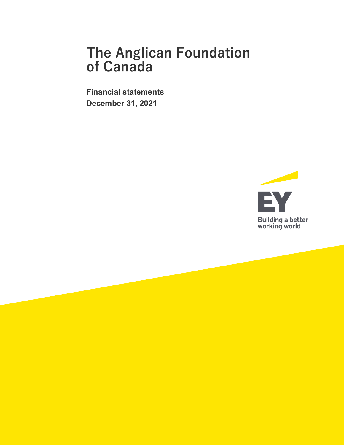**Financial statements December 31, 2021** 

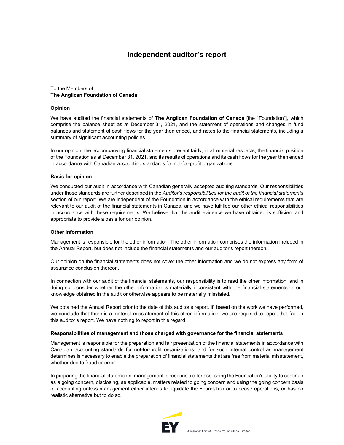## **Independent auditor's report**

## To the Members of **The Anglican Foundation of Canada**

### **Opinion**

We have audited the financial statements of **The Anglican Foundation of Canada** [the "Foundation"], which comprise the balance sheet as at December 31, 2021, and the statement of operations and changes in fund balances and statement of cash flows for the year then ended, and notes to the financial statements, including a summary of significant accounting policies.

In our opinion, the accompanying financial statements present fairly, in all material respects, the financial position of the Foundation as at December 31, 2021, and its results of operations and its cash flows for the year then ended in accordance with Canadian accounting standards for not-for-profit organizations.

#### **Basis for opinion**

We conducted our audit in accordance with Canadian generally accepted auditing standards. Our responsibilities under those standards are further described in the *Auditor's responsibilities for the audit of the financial statements*  section of our report. We are independent of the Foundation in accordance with the ethical requirements that are relevant to our audit of the financial statements in Canada, and we have fulfilled our other ethical responsibilities in accordance with these requirements. We believe that the audit evidence we have obtained is sufficient and appropriate to provide a basis for our opinion.

#### **Other information**

Management is responsible for the other information. The other information comprises the information included in the Annual Report, but does not include the financial statements and our auditor's report thereon.

Our opinion on the financial statements does not cover the other information and we do not express any form of assurance conclusion thereon.

In connection with our audit of the financial statements, our responsibility is to read the other information, and in doing so, consider whether the other information is materially inconsistent with the financial statements or our knowledge obtained in the audit or otherwise appears to be materially misstated.

We obtained the Annual Report prior to the date of this auditor's report. If, based on the work we have performed, we conclude that there is a material misstatement of this other information, we are required to report that fact in this auditor's report. We have nothing to report in this regard.

#### **Responsibilities of management and those charged with governance for the financial statements**

Management is responsible for the preparation and fair presentation of the financial statements in accordance with Canadian accounting standards for not-for-profit organizations, and for such internal control as management determines is necessary to enable the preparation of financial statements that are free from material misstatement, whether due to fraud or error.

In preparing the financial statements, management is responsible for assessing the Foundation's ability to continue as a going concern, disclosing, as applicable, matters related to going concern and using the going concern basis of accounting unless management either intends to liquidate the Foundation or to cease operations, or has no realistic alternative but to do so.

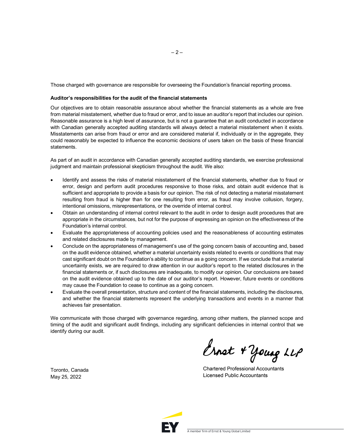Those charged with governance are responsible for overseeing the Foundation's financial reporting process.

 $-2-$ 

#### **Auditor's responsibilities for the audit of the financial statements**

Our objectives are to obtain reasonable assurance about whether the financial statements as a whole are free from material misstatement, whether due to fraud or error, and to issue an auditor's report that includes our opinion. Reasonable assurance is a high level of assurance, but is not a guarantee that an audit conducted in accordance with Canadian generally accepted auditing standards will always detect a material misstatement when it exists. Misstatements can arise from fraud or error and are considered material if, individually or in the aggregate, they could reasonably be expected to influence the economic decisions of users taken on the basis of these financial statements.

As part of an audit in accordance with Canadian generally accepted auditing standards, we exercise professional judgment and maintain professional skepticism throughout the audit. We also:

- Identify and assess the risks of material misstatement of the financial statements, whether due to fraud or error, design and perform audit procedures responsive to those risks, and obtain audit evidence that is sufficient and appropriate to provide a basis for our opinion. The risk of not detecting a material misstatement resulting from fraud is higher than for one resulting from error, as fraud may involve collusion, forgery, intentional omissions, misrepresentations, or the override of internal control.
- Obtain an understanding of internal control relevant to the audit in order to design audit procedures that are appropriate in the circumstances, but not for the purpose of expressing an opinion on the effectiveness of the Foundation's internal control.
- Evaluate the appropriateness of accounting policies used and the reasonableness of accounting estimates and related disclosures made by management.
- Conclude on the appropriateness of management's use of the going concern basis of accounting and, based on the audit evidence obtained, whether a material uncertainty exists related to events or conditions that may cast significant doubt on the Foundation's ability to continue as a going concern. If we conclude that a material uncertainty exists, we are required to draw attention in our auditor's report to the related disclosures in the financial statements or, if such disclosures are inadequate, to modify our opinion. Our conclusions are based on the audit evidence obtained up to the date of our auditor's report. However, future events or conditions may cause the Foundation to cease to continue as a going concern.
- Evaluate the overall presentation, structure and content of the financial statements, including the disclosures, and whether the financial statements represent the underlying transactions and events in a manner that achieves fair presentation.

We communicate with those charged with governance regarding, among other matters, the planned scope and timing of the audit and significant audit findings, including any significant deficiencies in internal control that we identify during our audit.

Ernet + Young LLP

**Chartered Professional Accountants** Licensed Public Accountants



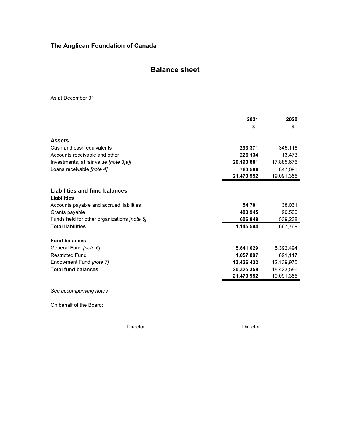## **Balance sheet**

As at December 31

|                                               | 2021       | 2020       |
|-----------------------------------------------|------------|------------|
|                                               | \$         | \$         |
| <b>Assets</b>                                 |            |            |
| Cash and cash equivalents                     | 293,371    | 345,116    |
| Accounts receivable and other                 | 226,134    | 13,473     |
| Investments, at fair value <i>[note 3[a]]</i> | 20,190,881 | 17,885,676 |
| Loans receivable [note 4]                     | 760,566    | 847,090    |
|                                               | 21,470,952 | 19,091,355 |
| Liabilities and fund balances                 |            |            |
| Liabilities                                   |            |            |
| Accounts payable and accrued liabilities      | 54,701     | 38,031     |
| Grants payable                                | 483,945    | 90,500     |
| Funds held for other organizations [note 5]   | 606,948    | 539,238    |
| <b>Total liabilities</b>                      | 1,145,594  | 667,769    |
| <b>Fund balances</b>                          |            |            |
| General Fund <i>Inote</i> 61                  | 5,841,029  | 5,392,494  |
| <b>Restricted Fund</b>                        | 1,057,897  | 891,117    |
| Endowment Fund [note 7]                       | 13,426,432 | 12,139,975 |
| <b>Total fund balances</b>                    | 20,325,358 | 18,423,586 |
|                                               | 21,470,952 | 19,091,355 |
|                                               |            |            |
| See accompanying notes                        |            |            |

On behalf of the Board:

Director **Director** Director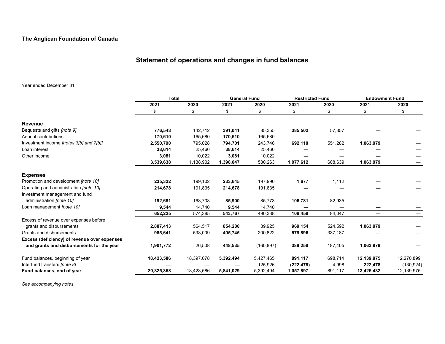## **Statement of operations and changes in fund balances**

## Year ended December 31

| 2021<br>2020<br>2020<br>2021<br>2020<br>2021<br>2020<br>2021<br>\$<br>\$<br>\$<br>\$<br>\$<br>\$<br>\$<br>S<br><b>Revenue</b><br>Bequests and gifts [note 9]<br>776,543<br>142,712<br>391,041<br>85,355<br>385,502<br>57,357<br>Annual contributions<br>170,610<br>165,680<br>170,610<br>165,680<br>Investment income [notes 3[b] and 7[b]]<br>2,550,790<br>692,110<br>551,282<br>1,063,979<br>795,028<br>794,701<br>243,746<br>38,614<br>Loan interest<br>38,614<br>25,460<br>25,460 |            |
|---------------------------------------------------------------------------------------------------------------------------------------------------------------------------------------------------------------------------------------------------------------------------------------------------------------------------------------------------------------------------------------------------------------------------------------------------------------------------------------|------------|
|                                                                                                                                                                                                                                                                                                                                                                                                                                                                                       |            |
|                                                                                                                                                                                                                                                                                                                                                                                                                                                                                       |            |
|                                                                                                                                                                                                                                                                                                                                                                                                                                                                                       |            |
|                                                                                                                                                                                                                                                                                                                                                                                                                                                                                       |            |
|                                                                                                                                                                                                                                                                                                                                                                                                                                                                                       |            |
|                                                                                                                                                                                                                                                                                                                                                                                                                                                                                       |            |
|                                                                                                                                                                                                                                                                                                                                                                                                                                                                                       |            |
| 10,022<br>3,081<br>10,022<br>3,081<br>Other income                                                                                                                                                                                                                                                                                                                                                                                                                                    |            |
| 3,539,638<br>1,138,902<br>1,398,047<br>530,263<br>1,077,612<br>608,639<br>1,063,979                                                                                                                                                                                                                                                                                                                                                                                                   |            |
| <b>Expenses</b>                                                                                                                                                                                                                                                                                                                                                                                                                                                                       |            |
| Promotion and development [note 10]<br>235,322<br>1,677<br>1,112<br>199,102<br>233,645<br>197,990                                                                                                                                                                                                                                                                                                                                                                                     |            |
| Operating and administration [note 10]<br>214,678<br>191,835<br>214,678<br>191,835                                                                                                                                                                                                                                                                                                                                                                                                    |            |
| Investment management and fund                                                                                                                                                                                                                                                                                                                                                                                                                                                        |            |
| administration [note 10]<br>192,681<br>168,708<br>85,773<br>106,781<br>82,935<br>85,900                                                                                                                                                                                                                                                                                                                                                                                               |            |
| Loan management [note 10]<br>14,740<br>9,544<br>14,740<br>9,544                                                                                                                                                                                                                                                                                                                                                                                                                       |            |
| 652,225<br>574,385<br>543,767<br>490,338<br>108,458<br>84,047<br>—                                                                                                                                                                                                                                                                                                                                                                                                                    |            |
| Excess of revenue over expenses before                                                                                                                                                                                                                                                                                                                                                                                                                                                |            |
| 2,887,413<br>854,280<br>39,925<br>524,592<br>1,063,979<br>grants and disbursements<br>564,517<br>969,154                                                                                                                                                                                                                                                                                                                                                                              |            |
| Grants and disbursements<br>985,641<br>538,009<br>405,745<br>200,822<br>579,896<br>337,187                                                                                                                                                                                                                                                                                                                                                                                            |            |
| Excess (deficiency) of revenue over expenses                                                                                                                                                                                                                                                                                                                                                                                                                                          |            |
| 1,901,772<br>26,508<br>448,535<br>(160, 897)<br>389,258<br>187,405<br>1,063,979<br>and grants and disbursements for the year                                                                                                                                                                                                                                                                                                                                                          |            |
| 18,397,078<br>5,427,465<br>698,714<br>Fund balances, beginning of year<br>18,423,586<br>5,392,494<br>891,117<br>12,139,975                                                                                                                                                                                                                                                                                                                                                            | 12,270,899 |
| Interfund transfers [note 8]<br>125,926<br>(222, 478)<br>4,998<br>222,478                                                                                                                                                                                                                                                                                                                                                                                                             | (130, 924) |
| 18,423,586<br>20,325,358<br>5,841,029<br>Fund balances, end of year<br>5,392,494<br>891,117<br>13,426,432<br>1,057,897                                                                                                                                                                                                                                                                                                                                                                | 12,139,975 |

*See accompanying notes*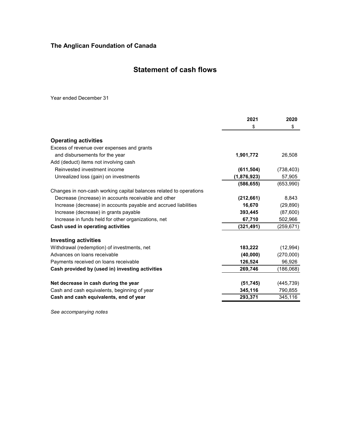## **Statement of cash flows**

Year ended December 31

|                                                                    | 2021        | 2020       |
|--------------------------------------------------------------------|-------------|------------|
|                                                                    | \$          | \$         |
| <b>Operating activities</b>                                        |             |            |
| Excess of revenue over expenses and grants                         |             |            |
| and disbursements for the year                                     | 1,901,772   | 26,508     |
| Add (deduct) items not involving cash                              |             |            |
| Reinvested investment income                                       | (611, 504)  | (738, 403) |
| Unrealized loss (gain) on investments                              | (1,876,923) | 57,905     |
|                                                                    | (586, 655)  | (653,990)  |
| Changes in non-cash working capital balances related to operations |             |            |
| Decrease (increase) in accounts receivable and other               | (212, 661)  | 8,843      |
| Increase (decrease) in accounts payable and accrued liabilities    | 16,670      | (29, 890)  |
| Increase (decrease) in grants payable                              | 393,445     | (87,600)   |
| Increase in funds held for other organizations, net                | 67,710      | 502,966    |
| Cash used in operating activities                                  | (321, 491)  | (259,671)  |
| <b>Investing activities</b>                                        |             |            |
| Withdrawal (redemption) of investments, net                        | 183,222     | (12, 994)  |
| Advances on loans receivable                                       | (40,000)    | (270,000)  |
| Payments received on loans receivable                              | 126,524     | 96,926     |
| Cash provided by (used in) investing activities                    | 269,746     | (186,068)  |
| Net decrease in cash during the year                               | (51, 745)   | (445,739)  |
| Cash and cash equivalents, beginning of year                       | 345.116     | 790,855    |
| Cash and cash equivalents, end of year                             | 293,371     | 345,116    |

*See accompanying notes*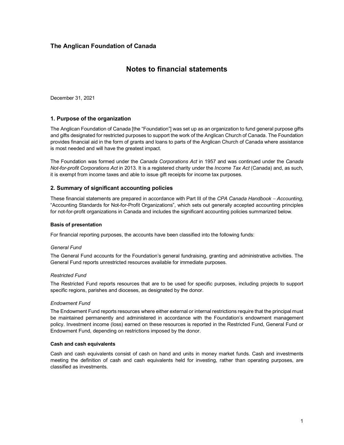## **Notes to financial statements**

December 31, 2021

## **1. Purpose of the organization**

The Anglican Foundation of Canada [the "Foundation"] was set up as an organization to fund general purpose gifts and gifts designated for restricted purposes to support the work of the Anglican Church of Canada. The Foundation provides financial aid in the form of grants and loans to parts of the Anglican Church of Canada where assistance is most needed and will have the greatest impact.

The Foundation was formed under the *Canada Corporations Act* in 1957 and was continued under the *Canada Not-for-profit Corporations Act* in 2013. It is a registered charity under the *Income Tax Act* (Canada) and, as such, it is exempt from income taxes and able to issue gift receipts for income tax purposes.

## **2. Summary of significant accounting policies**

These financial statements are prepared in accordance with Part III of the *CPA Canada Handbook* <sup>−</sup> *Accounting*, "Accounting Standards for Not-for-Profit Organizations", which sets out generally accepted accounting principles for not-for-profit organizations in Canada and includes the significant accounting policies summarized below.

### **Basis of presentation**

For financial reporting purposes, the accounts have been classified into the following funds:

#### *General Fund*

The General Fund accounts for the Foundation's general fundraising, granting and administrative activities. The General Fund reports unrestricted resources available for immediate purposes.

#### *Restricted Fund*

The Restricted Fund reports resources that are to be used for specific purposes, including projects to support specific regions, parishes and dioceses, as designated by the donor.

## *Endowment Fund*

The Endowment Fund reports resources where either external or internal restrictions require that the principal must be maintained permanently and administered in accordance with the Foundation's endowment management policy. Investment income (loss) earned on these resources is reported in the Restricted Fund, General Fund or Endowment Fund, depending on restrictions imposed by the donor.

#### **Cash and cash equivalents**

Cash and cash equivalents consist of cash on hand and units in money market funds. Cash and investments meeting the definition of cash and cash equivalents held for investing, rather than operating purposes, are classified as investments.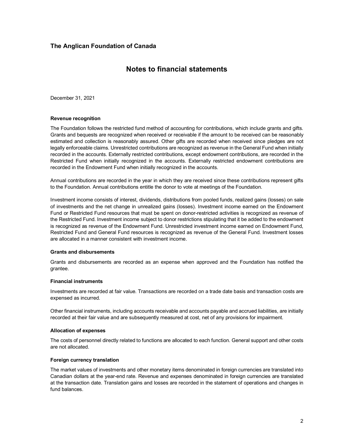## **Notes to financial statements**

December 31, 2021

#### **Revenue recognition**

The Foundation follows the restricted fund method of accounting for contributions, which include grants and gifts. Grants and bequests are recognized when received or receivable if the amount to be received can be reasonably estimated and collection is reasonably assured. Other gifts are recorded when received since pledges are not legally enforceable claims. Unrestricted contributions are recognized as revenue in the General Fund when initially recorded in the accounts. Externally restricted contributions, except endowment contributions, are recorded in the Restricted Fund when initially recognized in the accounts. Externally restricted endowment contributions are recorded in the Endowment Fund when initially recognized in the accounts.

Annual contributions are recorded in the year in which they are received since these contributions represent gifts to the Foundation. Annual contributions entitle the donor to vote at meetings of the Foundation.

Investment income consists of interest, dividends, distributions from pooled funds, realized gains (losses) on sale of investments and the net change in unrealized gains (losses). Investment income earned on the Endowment Fund or Restricted Fund resources that must be spent on donor-restricted activities is recognized as revenue of the Restricted Fund. Investment income subject to donor restrictions stipulating that it be added to the endowment is recognized as revenue of the Endowment Fund. Unrestricted investment income earned on Endowment Fund, Restricted Fund and General Fund resources is recognized as revenue of the General Fund. Investment losses are allocated in a manner consistent with investment income.

#### **Grants and disbursements**

Grants and disbursements are recorded as an expense when approved and the Foundation has notified the grantee.

#### **Financial instruments**

Investments are recorded at fair value. Transactions are recorded on a trade date basis and transaction costs are expensed as incurred.

Other financial instruments, including accounts receivable and accounts payable and accrued liabilities, are initially recorded at their fair value and are subsequently measured at cost, net of any provisions for impairment.

#### **Allocation of expenses**

The costs of personnel directly related to functions are allocated to each function. General support and other costs are not allocated.

#### **Foreign currency translation**

The market values of investments and other monetary items denominated in foreign currencies are translated into Canadian dollars at the year-end rate. Revenue and expenses denominated in foreign currencies are translated at the transaction date. Translation gains and losses are recorded in the statement of operations and changes in fund balances.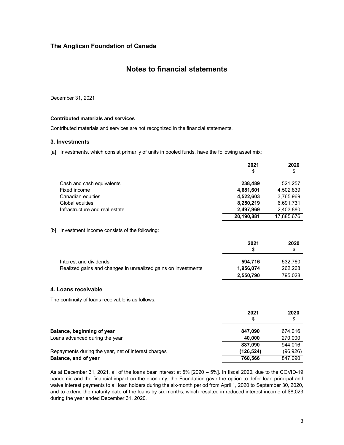## **Notes to financial statements**

December 31, 2021

### **Contributed materials and services**

Contributed materials and services are not recognized in the financial statements.

### **3. Investments**

[a] Investments, which consist primarily of units in pooled funds, have the following asset mix:

|                                                     | 2021<br>\$ | 2020<br>\$ |
|-----------------------------------------------------|------------|------------|
| Cash and cash equivalents                           | 238,489    | 521,257    |
| Fixed income                                        | 4,681,601  | 4,502,839  |
| Canadian equities                                   | 4,522,603  | 3,765,969  |
| Global equities                                     | 8,250,219  | 6,691,731  |
| Infrastructure and real estate                      | 2,497,969  | 2,403,880  |
|                                                     | 20,190,881 | 17,885,676 |
| [b]<br>Investment income consists of the following: |            |            |
|                                                     | 2021       | 2020       |
|                                                     | \$         | \$         |
| Interest and dividends                              | 594,716    | 532,760    |

| Realized gains and changes in unrealized gains on investments | 1.956.074 | 262,268 |
|---------------------------------------------------------------|-----------|---------|
|                                                               | 2,550,790 | 795.028 |

#### **4. Loans receivable**

The continuity of loans receivable is as follows:

|                                                     | 2021<br>\$ | 2020<br>\$ |
|-----------------------------------------------------|------------|------------|
| Balance, beginning of year                          | 847.090    | 674.016    |
| Loans advanced during the year                      | 40.000     | 270,000    |
|                                                     | 887.090    | 944.016    |
| Repayments during the year, net of interest charges | (126.524)  | (96, 926)  |
| Balance, end of year                                | 760.566    | 847,090    |

As at December 31, 2021, all of the loans bear interest at 5% [2020 – 5%]. In fiscal 2020, due to the COVID-19 pandemic and the financial impact on the economy, the Foundation gave the option to defer loan principal and waive interest payments to all loan holders during the six-month period from April 1, 2020 to September 30, 2020, and to extend the maturity date of the loans by six months, which resulted in reduced interest income of \$8,023 during the year ended December 31, 2020.

**2,550,790** 795,028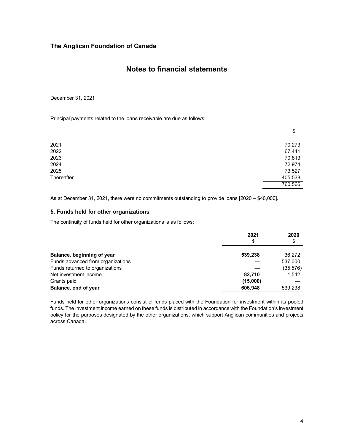## **Notes to financial statements**

December 31, 2021

Principal payments related to the loans receivable are due as follows:

|            | \$      |
|------------|---------|
| 2021       | 70,273  |
| 2022       | 67,441  |
| 2023       | 70,813  |
| 2024       | 72,974  |
| 2025       | 73,527  |
| Thereafter | 405,538 |
|            | 760,566 |

As at December 31, 2021, there were no commitments outstanding to provide loans [2020 – \$40,000].

## **5. Funds held for other organizations**

The continuity of funds held for other organizations is as follows:

|                                   | 2021     | 2020      |
|-----------------------------------|----------|-----------|
|                                   | \$       | \$        |
| Balance, beginning of year        | 539,238  | 36,272    |
| Funds advanced from organizations |          | 537,000   |
| Funds returned to organizations   |          | (35, 576) |
| Net investment income             | 82,710   | 1,542     |
| Grants paid                       | (15,000) |           |
| Balance, end of year              | 606.948  | 539.238   |

Funds held for other organizations consist of funds placed with the Foundation for investment within its pooled funds. The investment income earned on these funds is distributed in accordance with the Foundation's investment policy for the purposes designated by the other organizations, which support Anglican communities and projects across Canada.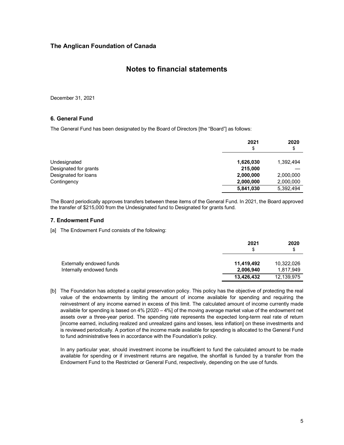## **Notes to financial statements**

December 31, 2021

### **6. General Fund**

The General Fund has been designated by the Board of Directors [the "Board"] as follows:

|                       | 2021<br>\$ | 2020<br>\$ |
|-----------------------|------------|------------|
| Undesignated          | 1,626,030  | 1,392,494  |
| Designated for grants | 215,000    |            |
| Designated for loans  | 2,000,000  | 2,000,000  |
| Contingency           | 2,000,000  | 2,000,000  |
|                       | 5,841,030  | 5,392,494  |

The Board periodically approves transfers between these items of the General Fund. In 2021, the Board approved the transfer of \$215,000 from the Undesignated fund to Designated for grants fund.

## **7. Endowment Fund**

[a] The Endowment Fund consists of the following:

|                          | 2021<br>\$. | 2020<br>S  |
|--------------------------|-------------|------------|
| Externally endowed funds | 11,419,492  | 10,322,026 |
| Internally endowed funds | 2,006,940   | 1,817,949  |
|                          | 13,426,432  | 12,139,975 |

[b] The Foundation has adopted a capital preservation policy. This policy has the objective of protecting the real value of the endowments by limiting the amount of income available for spending and requiring the reinvestment of any income earned in excess of this limit. The calculated amount of income currently made available for spending is based on 4% [2020 – 4%] of the moving average market value of the endowment net assets over a three-year period. The spending rate represents the expected long-term real rate of return [income earned, including realized and unrealized gains and losses, less inflation] on these investments and is reviewed periodically. A portion of the income made available for spending is allocated to the General Fund to fund administrative fees in accordance with the Foundation's policy.

In any particular year, should investment income be insufficient to fund the calculated amount to be made available for spending or if investment returns are negative, the shortfall is funded by a transfer from the Endowment Fund to the Restricted or General Fund, respectively, depending on the use of funds.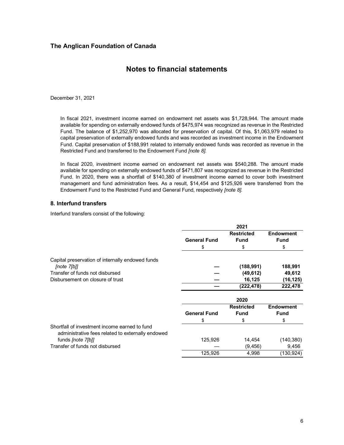## **Notes to financial statements**

December 31, 2021

In fiscal 2021, investment income earned on endowment net assets was \$1,728,944. The amount made available for spending on externally endowed funds of \$475,974 was recognized as revenue in the Restricted Fund. The balance of \$1,252,970 was allocated for preservation of capital. Of this, \$1,063,979 related to capital preservation of externally endowed funds and was recorded as investment income in the Endowment Fund. Capital preservation of \$188,991 related to internally endowed funds was recorded as revenue in the Restricted Fund and transferred to the Endowment Fund *[note 8].*

In fiscal 2020, investment income earned on endowment net assets was \$540,288. The amount made available for spending on externally endowed funds of \$471,807 was recognized as revenue in the Restricted Fund. In 2020, there was a shortfall of \$140,380 of investment income earned to cover both investment management and fund administration fees. As a result, \$14,454 and \$125,926 were transferred from the Endowment Fund to the Restricted Fund and General Fund, respectively *[note 8]*.

## **8. Interfund transfers**

Interfund transfers consist of the following:

|                                                                                                    |                     | 2021              |                  |
|----------------------------------------------------------------------------------------------------|---------------------|-------------------|------------------|
|                                                                                                    |                     | <b>Restricted</b> | <b>Endowment</b> |
|                                                                                                    | <b>General Fund</b> | <b>Fund</b>       | <b>Fund</b>      |
|                                                                                                    | \$                  | \$                | \$               |
| Capital preservation of internally endowed funds                                                   |                     |                   |                  |
| [note 7[b]]                                                                                        |                     | (188, 991)        | 188,991          |
| Transfer of funds not disbursed                                                                    |                     | (49, 612)         | 49,612           |
| Disbursement on closure of trust                                                                   |                     | 16,125            | (16, 125)        |
|                                                                                                    |                     | (222, 478)        | 222,478          |
|                                                                                                    |                     | 2020              |                  |
|                                                                                                    |                     | <b>Restricted</b> | <b>Endowment</b> |
|                                                                                                    | <b>General Fund</b> | <b>Fund</b>       | <b>Fund</b>      |
|                                                                                                    | \$                  | \$                | \$               |
| Shortfall of investment income earned to fund<br>administrative fees related to externally endowed |                     |                   |                  |
| funds <i>[note 7[b]]</i>                                                                           | 125,926             | 14,454            | (140, 380)       |
| Transfer of funds not disbursed                                                                    |                     | (9, 456)          | 9,456            |
|                                                                                                    | 125,926             | 4,998             | (130, 924)       |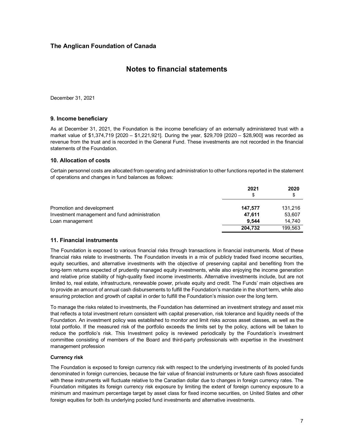## **Notes to financial statements**

December 31, 2021

### **9. Income beneficiary**

As at December 31, 2021, the Foundation is the income beneficiary of an externally administered trust with a market value of \$1,374,719 [2020 – \$1,221,921]. During the year, \$29,709 [2020 – \$28,900] was recorded as revenue from the trust and is recorded in the General Fund. These investments are not recorded in the financial statements of the Foundation.

## **10. Allocation of costs**

Certain personnel costs are allocated from operating and administration to other functions reported in the statement of operations and changes in fund balances as follows:

|                                               | 2021<br>S | 2020<br>S |
|-----------------------------------------------|-----------|-----------|
| Promotion and development                     | 147.577   | 131.216   |
| Investment management and fund administration | 47.611    | 53,607    |
| Loan management                               | 9.544     | 14.740    |
|                                               | 204,732   | 199,563   |

#### **11. Financial instruments**

The Foundation is exposed to various financial risks through transactions in financial instruments. Most of these financial risks relate to investments. The Foundation invests in a mix of publicly traded fixed income securities, equity securities, and alternative investments with the objective of preserving capital and benefiting from the long-term returns expected of prudently managed equity investments, while also enjoying the income generation and relative price stability of high-quality fixed income investments. Alternative investments include, but are not limited to, real estate, infrastructure, renewable power, private equity and credit. The Funds' main objectives are to provide an amount of annual cash disbursements to fulfill the Foundation's mandate in the short term, while also ensuring protection and growth of capital in order to fulfill the Foundation's mission over the long term.

To manage the risks related to investments, the Foundation has determined an investment strategy and asset mix that reflects a total investment return consistent with capital preservation, risk tolerance and liquidity needs of the Foundation. An investment policy was established to monitor and limit risks across asset classes, as well as the total portfolio. If the measured risk of the portfolio exceeds the limits set by the policy, actions will be taken to reduce the portfolio's risk. This Investment policy is reviewed periodically by the Foundation's investment committee consisting of members of the Board and third-party professionals with expertise in the investment management profession

#### **Currency risk**

The Foundation is exposed to foreign currency risk with respect to the underlying investments of its pooled funds denominated in foreign currencies, because the fair value of financial instruments or future cash flows associated with these instruments will fluctuate relative to the Canadian dollar due to changes in foreign currency rates. The Foundation mitigates its foreign currency risk exposure by limiting the extent of foreign currency exposure to a minimum and maximum percentage target by asset class for fixed income securities, on United States and other foreign equities for both its underlying pooled fund investments and alternative investments.